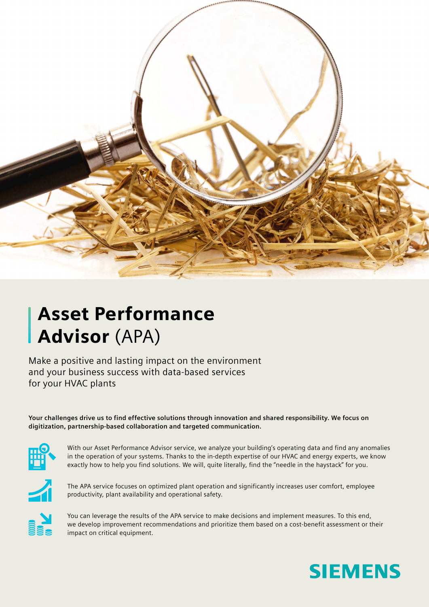

## Asset Performance Advisor (APA)

Make a positive and lasting impact on the environment and your business success with data-based services for your HVAC plants

**Your challenges drive us to find effective solutions through innovation and shared responsibility. We focus on digitization, partnership-based collaboration and targeted communication.** 



With our Asset Performance Advisor service, we analyze your building's operating data and find any anomalies in the operation of your systems. Thanks to the in-depth expertise of our HVAC and energy experts, we know exactly how to help you find solutions. We will, quite literally, find the "needle in the haystack" for you.



The APA service focuses on optimized plant operation and significantly increases user comfort, employee productivity, plant availability and operational safety.



You can leverage the results of the APA service to make decisions and implement measures. To this end, we develop improvement recommendations and prioritize them based on a cost-benefit assessment or their impact on critical equipment.